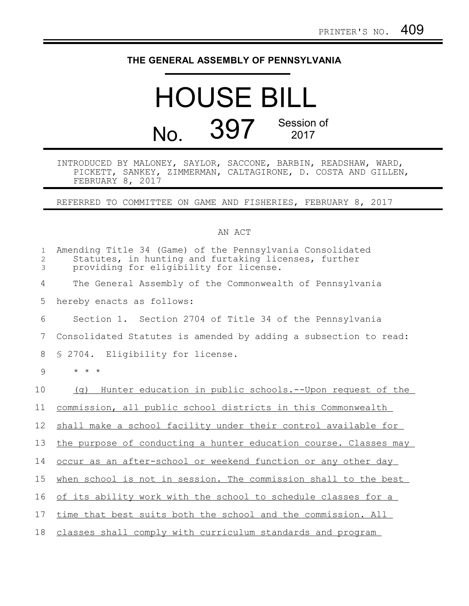## **THE GENERAL ASSEMBLY OF PENNSYLVANIA**

## HOUSE BILL No. 397 Session of 2017

INTRODUCED BY MALONEY, SAYLOR, SACCONE, BARBIN, READSHAW, WARD, PICKETT, SANKEY, ZIMMERMAN, CALTAGIRONE, D. COSTA AND GILLEN, FEBRUARY 8, 2017

REFERRED TO COMMITTEE ON GAME AND FISHERIES, FEBRUARY 8, 2017

## AN ACT

| 1<br>$\mathbf{2}$<br>3 | Amending Title 34 (Game) of the Pennsylvania Consolidated<br>Statutes, in hunting and furtaking licenses, further<br>providing for eligibility for license. |
|------------------------|-------------------------------------------------------------------------------------------------------------------------------------------------------------|
| 4                      | The General Assembly of the Commonwealth of Pennsylvania                                                                                                    |
| 5                      | hereby enacts as follows:                                                                                                                                   |
| 6                      | Section 1. Section 2704 of Title 34 of the Pennsylvania                                                                                                     |
| 7                      | Consolidated Statutes is amended by adding a subsection to read:                                                                                            |
| 8                      | \$ 2704. Eligibility for license.                                                                                                                           |
| 9                      | $\star$ $\star$ $\star$                                                                                                                                     |
| 10                     | Hunter education in public schools. -- Upon request of the<br>(q)                                                                                           |
| 11                     | commission, all public school districts in this Commonwealth                                                                                                |
| 12                     | shall make a school facility under their control available for                                                                                              |
| 13                     | the purpose of conducting a hunter education course. Classes may                                                                                            |
| 14                     | occur as an after-school or weekend function or any other day                                                                                               |
| 15                     | when school is not in session. The commission shall to the best                                                                                             |
| 16                     | of its ability work with the school to schedule classes for a                                                                                               |
| 17                     | time that best suits both the school and the commission. All                                                                                                |
| 18                     | classes shall comply with curriculum standards and program                                                                                                  |